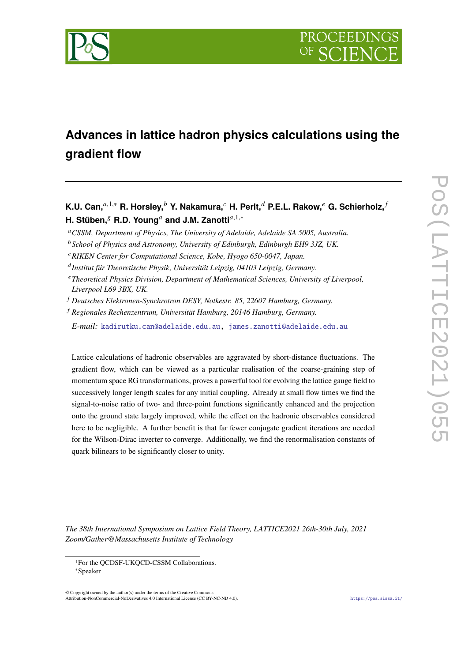

# **Advances in lattice hadron physics calculations using the gradient flow**

## **K.U. Can,**<sup> $a,1,*$ </sup> **R. Horsley,**  $^b$  **Y. Nakamura,**  $^c$  **H. Perlt,**  $^d$  **P.E.L. Rakow,**  $^e$  **G. Schierholz,**  $^f$ **H. Stüben,<sup>§</sup> R.D. Young<sup>a</sup> and J.M. Zanotti<sup>a,1,∗</sup>**

*CSSM, Department of Physics, The University of Adelaide, Adelaide SA 5005, Australia.*

*E-mail:* [kadirutku.can@adelaide.edu.au,](mailto:kadirutku.can@adelaide.edu.au) [james.zanotti@adelaide.edu.au](mailto:james.zanotti@adelaide.edu.au)

Lattice calculations of hadronic observables are aggravated by short-distance fluctuations. The gradient flow, which can be viewed as a particular realisation of the coarse-graining step of momentum space RG transformations, proves a powerful tool for evolving the lattice gauge field to successively longer length scales for any initial coupling. Already at small flow times we find the signal-to-noise ratio of two- and three-point functions significantly enhanced and the projection onto the ground state largely improved, while the effect on the hadronic observables considered here to be negligible. A further benefit is that far fewer conjugate gradient iterations are needed for the Wilson-Dirac inverter to converge. Additionally, we find the renormalisation constants of quark bilinears to be significantly closer to unity.

*The 38th International Symposium on Lattice Field Theory, LATTICE2021 26th-30th July, 2021 Zoom/Gather@Massachusetts Institute of Technology*

 $\odot$  Copyright owned by the author(s) under the terms of the Creative Common Attribution-NonCommercial-NoDerivatives 4.0 International License (CC BY-NC-ND 4.0). <https://pos.sissa.it/>

*School of Physics and Astronomy, University of Edinburgh, Edinburgh EH9 3JZ, UK.*

*RIKEN Center for Computational Science, Kobe, Hyogo 650-0047, Japan.*

*Institut für Theoretische Physik, Universität Leipzig, 04103 Leipzig, Germany.*

*Theoretical Physics Division, Department of Mathematical Sciences, University of Liverpool, Liverpool L69 3BX, UK.*

*Deutsches Elektronen-Synchrotron DESY, Notkestr. 85, 22607 Hamburg, Germany.*

*Regionales Rechenzentrum, Universität Hamburg, 20146 Hamburg, Germany.*

<sup>1</sup>For the QCDSF-UKQCD-CSSM Collaborations.

<sup>∗</sup>Speaker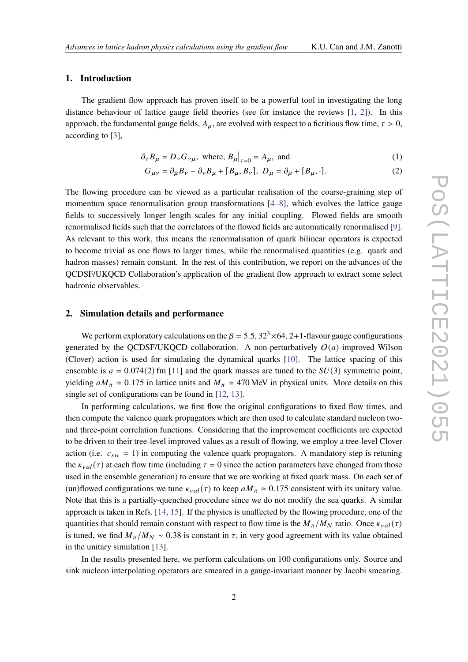### **1. Introduction**

The gradient flow approach has proven itself to be a powerful tool in investigating the long distance behaviour of lattice gauge field theories (see for instance the reviews [\[1,](#page-6-0) [2\]](#page-6-1)). In this approach, the fundamental gauge fields,  $A_{\mu}$ , are evolved with respect to a fictitious flow time,  $\tau > 0$ , according to [\[3\]](#page-6-2),

$$
\partial_{\tau} B_{\mu} = D_{\nu} G_{\nu\mu}, \text{ where, } B_{\mu}|_{\tau=0} = A_{\mu}, \text{ and}
$$
 (1)

$$
G_{\mu\nu} = \partial_{\mu}B_{\nu} - \partial_{\nu}B_{\mu} + [B_{\mu}, B_{\nu}], \ D_{\mu} = \partial_{\mu} + [B_{\mu}, \cdot].
$$
 (2)

The flowing procedure can be viewed as a particular realisation of the coarse-graining step of momentum space renormalisation group transformations [\[4–](#page-6-3)[8\]](#page-6-4), which evolves the lattice gauge fields to successively longer length scales for any initial coupling. Flowed fields are smooth renormalised fields such that the correlators of the flowed fields are automatically renormalised [\[9\]](#page-6-5). As relevant to this work, this means the renormalisation of quark bilinear operators is expected to become trivial as one flows to larger times, while the renormalised quantities (e.g. quark and hadron masses) remain constant. In the rest of this contribution, we report on the advances of the QCDSF/UKQCD Collaboration's application of the gradient flow approach to extract some select hadronic observables.

### **2. Simulation details and performance**

We perform exploratory calculations on the  $\beta = 5.5$ ,  $32<sup>3</sup> \times 64$ , 2+1-flavour gauge configurations generated by the QCDSF/UKQCD collaboration. A non-perturbatively  $O(a)$ -improved Wilson (Clover) action is used for simulating the dynamical quarks [\[10\]](#page-6-6). The lattice spacing of this ensemble is  $a = 0.074(2)$  fm [\[11\]](#page-6-7) and the quark masses are tuned to the  $SU(3)$  symmetric point, yielding  $aM_\pi \approx 0.175$  in lattice units and  $M_\pi \approx 470$  MeV in physical units. More details on this single set of configurations can be found in [\[12,](#page-7-0) [13\]](#page-7-1).

In performing calculations, we first flow the original configurations to fixed flow times, and then compute the valence quark propagators which are then used to calculate standard nucleon twoand three-point correlation functions. Considering that the improvement coefficients are expected to be driven to their tree-level improved values as a result of flowing, we employ a tree-level Clover action (i.e.  $c_{sw} = 1$ ) in computing the valence quark propagators. A mandatory step is retuning the  $\kappa_{val}(\tau)$  at each flow time (including  $\tau = 0$  since the action parameters have changed from those used in the ensemble generation) to ensure that we are working at fixed quark mass. On each set of (un)flowed configurations we tune  $\kappa_{val}(\tau)$  to keep  $aM_\pi \simeq 0.175$  consistent with its unitary value. Note that this is a partially-quenched procedure since we do not modify the sea quarks. A similar approach is taken in Refs. [\[14,](#page-7-2) [15\]](#page-7-3). If the physics is unaffected by the flowing procedure, one of the quantities that should remain constant with respect to flow time is the  $M_{\pi}/M_N$  ratio. Once  $\kappa_{val}(\tau)$ is tuned, we find  $M_{\pi}/M_N \sim 0.38$  is constant in  $\tau$ , in very good agreement with its value obtained in the unitary simulation [\[13\]](#page-7-1).

In the results presented here, we perform calculations on 100 configurations only. Source and sink nucleon interpolating operators are smeared in a gauge-invariant manner by Jacobi smearing.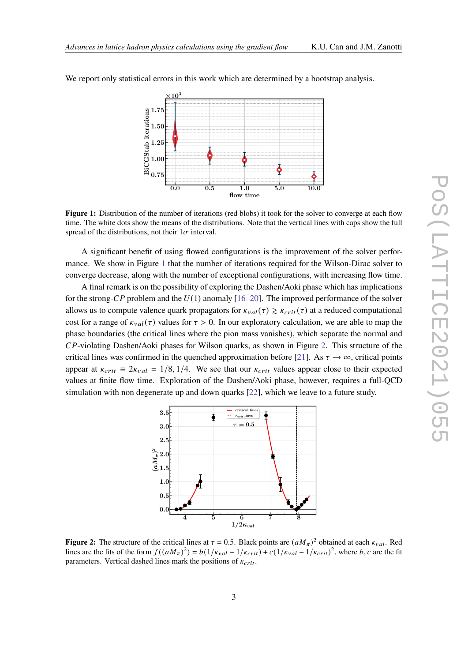

<span id="page-2-0"></span>We report only statistical errors in this work which are determined by a bootstrap analysis.

**Figure 1:** Distribution of the number of iterations (red blobs) it took for the solver to converge at each flow time. The white dots show the means of the distributions. Note that the vertical lines with caps show the full spread of the distributions, not their  $1\sigma$  interval.

A significant benefit of using flowed configurations is the improvement of the solver performance. We show in Figure [1](#page-2-0) that the number of iterations required for the Wilson-Dirac solver to converge decrease, along with the number of exceptional configurations, with increasing flow time.

A final remark is on the possibility of exploring the Dashen/Aoki phase which has implications for the strong-CP problem and the  $U(1)$  anomaly [\[16–](#page-7-4)[20\]](#page-7-5). The improved performance of the solver allows us to compute valence quark propagators for  $\kappa_{val}(\tau) \geq \kappa_{crit}(\tau)$  at a reduced computational cost for a range of  $\kappa_{val}(\tau)$  values for  $\tau > 0$ . In our exploratory calculation, we are able to map the phase boundaries (the critical lines where the pion mass vanishes), which separate the normal and  $CP$ -violating Dashen/Aoki phases for Wilson quarks, as shown in Figure [2.](#page-2-1) This structure of the critical lines was confirmed in the quenched approximation before [\[21\]](#page-7-6). As  $\tau \to \infty$ , critical points appear at  $\kappa_{crit} \equiv 2\kappa_{val} = 1/8, 1/4$ . We see that our  $\kappa_{crit}$  values appear close to their expected values at finite flow time. Exploration of the Dashen/Aoki phase, however, requires a full-QCD simulation with non degenerate up and down quarks [\[22\]](#page-7-7), which we leave to a future study.

<span id="page-2-1"></span>

**Figure 2:** The structure of the critical lines at  $\tau = 0.5$ . Black points are  $(aM_{\pi})^2$  obtained at each  $\kappa_{val}$ . Red lines are the fits of the form  $f((aM_{\pi})^2) = b(1/\kappa_{val} - 1/\kappa_{crit}) + c(1/\kappa_{val} - 1/\kappa_{crit})^2$ , where b, c are the fit parameters. Vertical dashed lines mark the positions of  $\kappa_{crit}$ .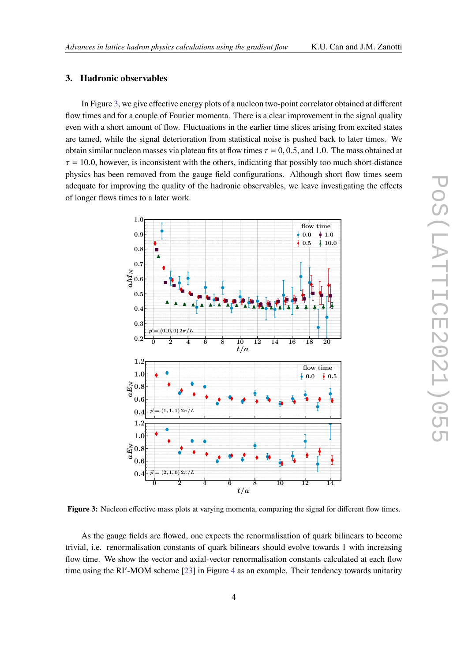### **3. Hadronic observables**

In Figure [3,](#page-3-0) we give effective energy plots of a nucleon two-point correlator obtained at different flow times and for a couple of Fourier momenta. There is a clear improvement in the signal quality even with a short amount of flow. Fluctuations in the earlier time slices arising from excited states are tamed, while the signal deterioration from statistical noise is pushed back to later times. We obtain similar nucleon masses via plateau fits at flow times  $\tau = 0, 0.5$ , and 1.0. The mass obtained at  $\tau = 10.0$ , however, is inconsistent with the others, indicating that possibly too much short-distance physics has been removed from the gauge field configurations. Although short flow times seem adequate for improving the quality of the hadronic observables, we leave investigating the effects of longer flows times to a later work.

<span id="page-3-0"></span>

**Figure 3:** Nucleon effective mass plots at varying momenta, comparing the signal for different flow times.

As the gauge fields are flowed, one expects the renormalisation of quark bilinears to become trivial, i.e. renormalisation constants of quark bilinears should evolve towards 1 with increasing flow time. We show the vector and axial-vector renormalisation constants calculated at each flow time using the RI'-MOM scheme [\[23\]](#page-7-8) in Figure [4](#page-4-0) as an example. Their tendency towards unitarity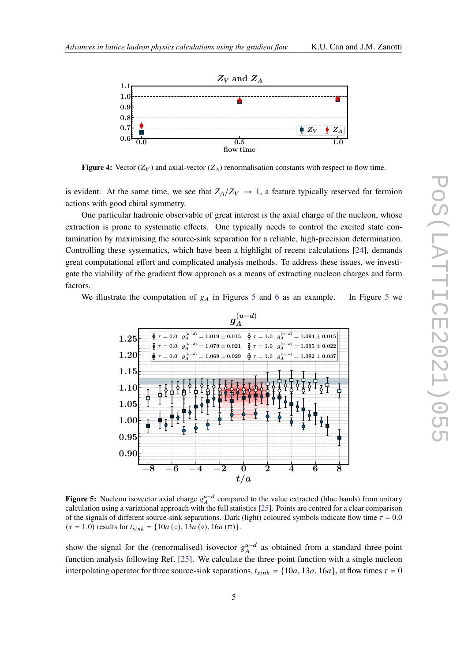<span id="page-4-0"></span>

**Figure 4:** Vector  $(Z_V)$  and axial-vector  $(Z_A)$  renormalisation constants with respect to flow time.

is evident. At the same time, we see that  $Z_A/Z_V \rightarrow 1$ , a feature typically reserved for fermion actions with good chiral symmetry.

One particular hadronic observable of great interest is the axial charge of the nucleon, whose extraction is prone to systematic effects. One typically needs to control the excited state contamination by maximising the source-sink separation for a reliable, high-precision determination. Controlling these systematics, which have been a highlight of recent calculations [\[24\]](#page-7-9), demands great computational effort and complicated analysis methods. To address these issues, we investigate the viability of the gradient flow approach as a means of extracting nucleon charges and form factors.

<span id="page-4-1"></span>We illustrate the computation of  $g_A$  in Figures [5](#page-4-1) and [6](#page-5-0) as an example. In Figure 5 we



**Figure 5:** Nucleon isovector axial charge  $g_A^{u-d}$  compared to the value extracted (blue bands) from unitary calculation using a variational approach with the full statistics [\[25\]](#page-7-10). Points are centred for a clear comparison of the signals of different source-sink separations. Dark (light) coloured symbols indicate flow time  $\tau = 0.0$  $(\tau = 1.0)$  results for  $t_{sink} = \{10a \, (\circ), 13a \, (\circ), 16a \, (\square)\}.$ 

show the signal for the (renormalised) isovector  $g_A^{u-d}$  as obtained from a standard three-point function analysis following Ref. [\[25\]](#page-7-10). We calculate the three-point function with a single nucleon interpolating operator for three source-sink separations,  $t_{sink} = \{10a, 13a, 16a\}$ , at flow times  $\tau = 0$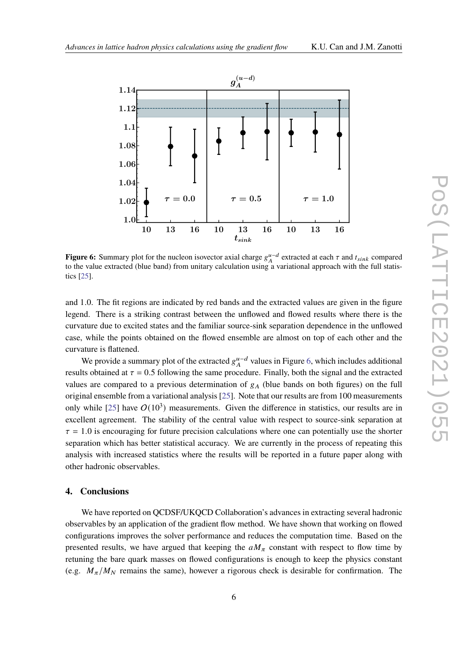<span id="page-5-0"></span>

**Figure 6:** Summary plot for the nucleon isovector axial charge  $g_A^{\mu-d}$  extracted at each  $\tau$  and  $t_{sink}$  compared to the value extracted (blue band) from unitary calculation using a variational approach with the full statistics [\[25\]](#page-7-10).

and 1.0. The fit regions are indicated by red bands and the extracted values are given in the figure legend. There is a striking contrast between the unflowed and flowed results where there is the curvature due to excited states and the familiar source-sink separation dependence in the unflowed case, while the points obtained on the flowed ensemble are almost on top of each other and the curvature is flattened.

We provide a summary plot of the extracted  $g_A^{\mu-d}$  values in Figure [6,](#page-5-0) which includes additional results obtained at  $\tau = 0.5$  following the same procedure. Finally, both the signal and the extracted values are compared to a previous determination of  $g_A$  (blue bands on both figures) on the full original ensemble from a variational analysis [\[25\]](#page-7-10). Note that our results are from 100 measurements only while [\[25\]](#page-7-10) have  $O(10^3)$  measurements. Given the difference in statistics, our results are in excellent agreement. The stability of the central value with respect to source-sink separation at  $\tau = 1.0$  is encouraging for future precision calculations where one can potentially use the shorter separation which has better statistical accuracy. We are currently in the process of repeating this analysis with increased statistics where the results will be reported in a future paper along with other hadronic observables.

### **4. Conclusions**

We have reported on QCDSF/UKQCD Collaboration's advances in extracting several hadronic observables by an application of the gradient flow method. We have shown that working on flowed configurations improves the solver performance and reduces the computation time. Based on the presented results, we have argued that keeping the  $aM_\pi$  constant with respect to flow time by retuning the bare quark masses on flowed configurations is enough to keep the physics constant (e.g.  $M_{\pi}/M_N$  remains the same), however a rigorous check is desirable for confirmation. The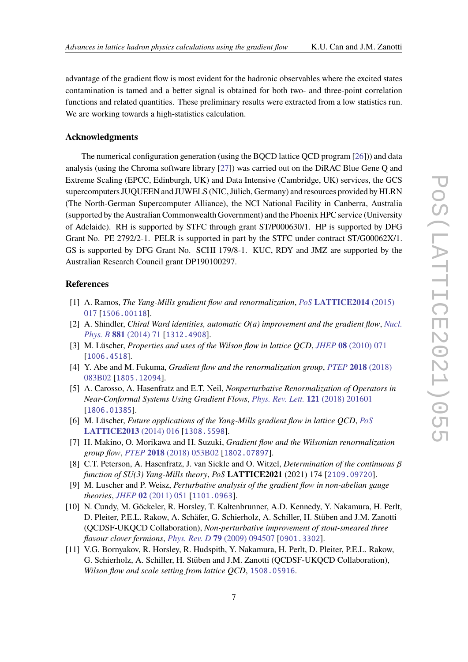advantage of the gradient flow is most evident for the hadronic observables where the excited states contamination is tamed and a better signal is obtained for both two- and three-point correlation functions and related quantities. These preliminary results were extracted from a low statistics run. We are working towards a high-statistics calculation.

### **Acknowledgments**

The numerical configuration generation (using the BQCD lattice QCD program [\[26\]](#page-7-11))) and data analysis (using the Chroma software library [\[27\]](#page-7-12)) was carried out on the DiRAC Blue Gene Q and Extreme Scaling (EPCC, Edinburgh, UK) and Data Intensive (Cambridge, UK) services, the GCS supercomputers JUQUEEN and JUWELS (NIC, Jülich, Germany) and resources provided by HLRN (The North-German Supercomputer Alliance), the NCI National Facility in Canberra, Australia (supported by the Australian Commonwealth Government) and the Phoenix HPC service (University of Adelaide). RH is supported by STFC through grant ST/P000630/1. HP is supported by DFG Grant No. PE 2792/2-1. PELR is supported in part by the STFC under contract ST/G00062X/1. GS is supported by DFG Grant No. SCHI 179/8-1. KUC, RDY and JMZ are supported by the Australian Research Council grant DP190100297.

### **References**

- <span id="page-6-0"></span>[1] A. Ramos, *The Yang-Mills gradient flow and renormalization*, *PoS* **[LATTICE2014](https://doi.org/10.22323/1.214.0017)** (2015) [017](https://doi.org/10.22323/1.214.0017) [[1506.00118](https://arxiv.org/abs/1506.00118)].
- <span id="page-6-1"></span>[2] A. Shindler, *Chiral Ward identities, automatic O(a) improvement and the gradient flow*, *[Nucl.](https://doi.org/10.1016/j.nuclphysb.2014.01.022) Phys. B* **881** [\(2014\) 71](https://doi.org/10.1016/j.nuclphysb.2014.01.022) [[1312.4908](https://arxiv.org/abs/1312.4908)].
- <span id="page-6-2"></span>[3] M. Lüscher, *Properties and uses of the Wilson flow in lattice QCD*, *JHEP* **08** [\(2010\) 071](https://doi.org/10.1007/JHEP08(2010)071) [[1006.4518](https://arxiv.org/abs/1006.4518)].
- <span id="page-6-3"></span>[4] Y. Abe and M. Fukuma, *Gradient flow and the renormalization group*, *PTEP* **2018** [\(2018\)](https://doi.org/10.1093/ptep/pty081) [083B02](https://doi.org/10.1093/ptep/pty081) [[1805.12094](https://arxiv.org/abs/1805.12094)].
- [5] A. Carosso, A. Hasenfratz and E.T. Neil, *Nonperturbative Renormalization of Operators in Near-Conformal Systems Using Gradient Flows*, *[Phys. Rev. Lett.](https://doi.org/10.1103/PhysRevLett.121.201601)* **121** (2018) 201601 [[1806.01385](https://arxiv.org/abs/1806.01385)].
- [6] M. Lüscher, *Future applications of the Yang-Mills gradient flow in lattice QCD*, *[PoS](https://doi.org/10.22323/1.187.0016)* **[LATTICE2013](https://doi.org/10.22323/1.187.0016)** (2014) 016 [[1308.5598](https://arxiv.org/abs/1308.5598)].
- [7] H. Makino, O. Morikawa and H. Suzuki, *Gradient flow and the Wilsonian renormalization group flow*, *PTEP* **2018** [\(2018\) 053B02](https://doi.org/10.1093/ptep/pty050) [[1802.07897](https://arxiv.org/abs/1802.07897)].
- <span id="page-6-4"></span>[8] C.T. Peterson, A. Hasenfratz, J. van Sickle and O. Witzel, *Determination of the continuous function of SU(3) Yang-Mills theory*, *PoS* **LATTICE2021** (2021) 174 [[2109.09720](https://arxiv.org/abs/2109.09720)].
- <span id="page-6-5"></span>[9] M. Luscher and P. Weisz, *Perturbative analysis of the gradient flow in non-abelian gauge theories*, *JHEP* **02** [\(2011\) 051](https://doi.org/10.1007/JHEP02(2011)051) [[1101.0963](https://arxiv.org/abs/1101.0963)].
- <span id="page-6-6"></span>[10] N. Cundy, M. Göckeler, R. Horsley, T. Kaltenbrunner, A.D. Kennedy, Y. Nakamura, H. Perlt, D. Pleiter, P.E.L. Rakow, A. Schäfer, G. Schierholz, A. Schiller, H. Stüben and J.M. Zanotti (QCDSF-UKQCD Collaboration), *Non-perturbative improvement of stout-smeared three flavour clover fermions*, *Phys. Rev. D* **79** [\(2009\) 094507](https://doi.org/10.1103/PhysRevD.79.094507) [[0901.3302](https://arxiv.org/abs/0901.3302)].
- <span id="page-6-7"></span>[11] V.G. Bornyakov, R. Horsley, R. Hudspith, Y. Nakamura, H. Perlt, D. Pleiter, P.E.L. Rakow, G. Schierholz, A. Schiller, H. Stüben and J.M. Zanotti (QCDSF-UKQCD Collaboration), *Wilson flow and scale setting from lattice QCD*, [1508.05916](https://arxiv.org/abs/1508.05916).